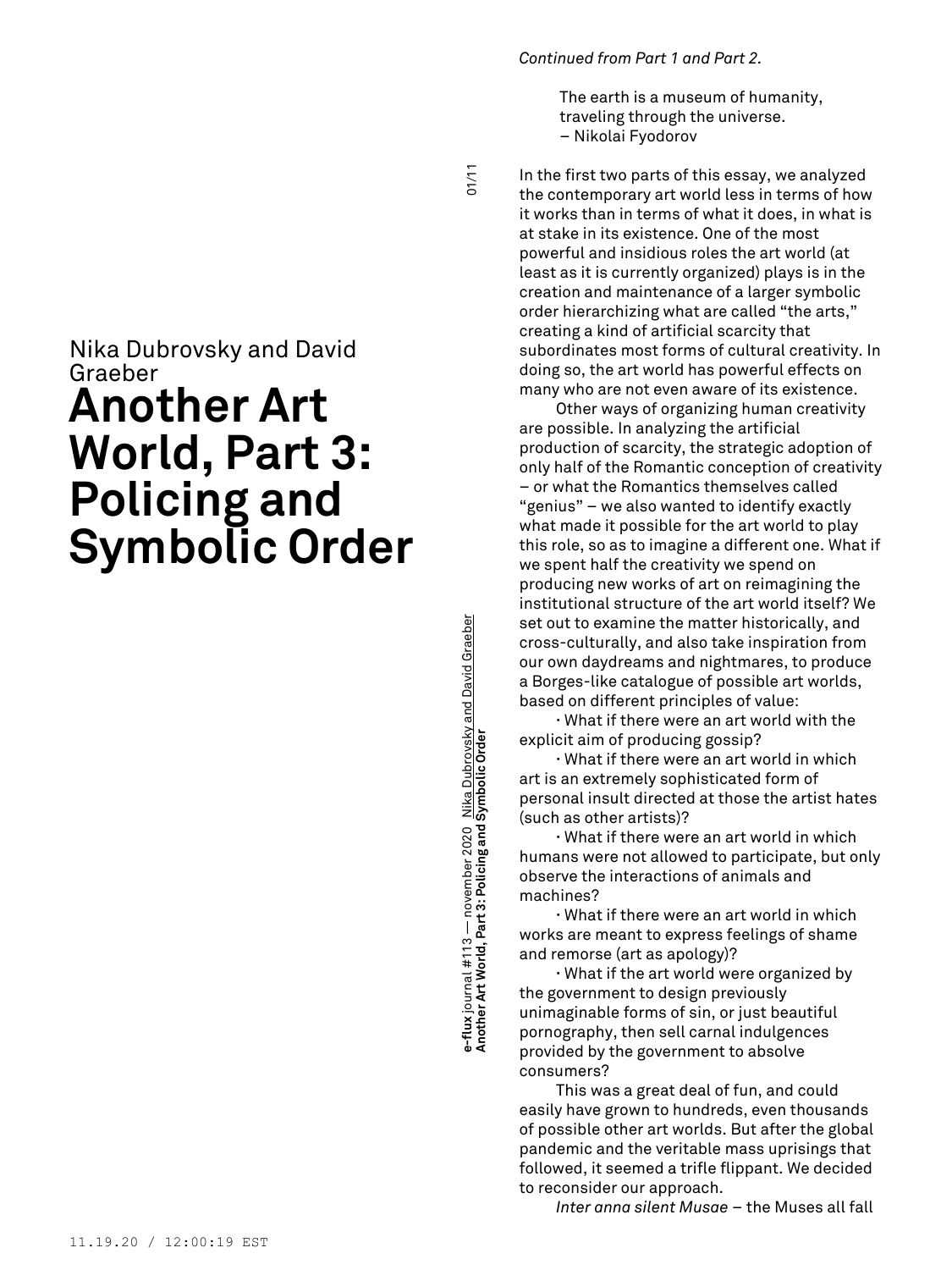#### *Continued from Part 1 and Part 2.*

The earth is a museum of humanity, traveling through the universe. – Nikolai Fyodorov

 $1/10$ 

# Nika Dubrovsky and David Graeber **Another Art World, Part 3: Policing and Symbolic Order**

**Another Art World, Part 3: Policing and Symbolic Order** 01/11 e-flux journal #113 — november 2020 <u>Nika Dubrovsky and David Graeber</u><br>Another Art World, Part 3: Policing and Symbolic Order **e-flux** journal #113 — november 2020 Nika Dubrovsky and David Graeber

In the first two parts of this essay, we analyzed the contemporary art world less in terms of how it works than in terms of what it does, in what is at stake in its existence. One of the most powerful and insidious roles the art world (at least as it is currently organized) plays is in the creation and maintenance of a larger symbolic order hierarchizing what are called "the arts," creating a kind of artificial scarcity that subordinates most forms of cultural creativity. In doing so, the art world has powerful effects on many who are not even aware of its existence.

Other ways of organizing human creativity are possible. In analyzing the artificial production of scarcity, the strategic adoption of only half of the Romantic conception of creativity – or what the Romantics themselves called "genius" – we also wanted to identify exactly what made it possible for the art world to play this role, so as to imagine a different one. What if we spent half the creativity we spend on producing new works of art on reimagining the institutional structure of the art world itself? We set out to examine the matter historically, and cross-culturally, and also take inspiration from our own daydreams and nightmares, to produce a Borges-like catalogue of possible art worlds, based on different principles of value:

**∙** What if there were an art world with the explicit aim of producing gossip?

**∙** What if there were an art world in which art is an extremely sophisticated form of personal insult directed at those the artist hates (such as other artists)?

**∙** What if there were an art world in which humans were not allowed to participate, but only observe the interactions of animals and machines?

**∙** What if there were an art world in which works are meant to express feelings of shame and remorse (art as apology)?

**∙** What if the art world were organized by the government to design previously unimaginable forms of sin, or just beautiful pornography, then sell carnal indulgences provided by the government to absolve consumers?

This was a great deal of fun, and could easily have grown to hundreds, even thousands of possible other art worlds. But after the global pandemic and the veritable mass uprisings that followed, it seemed a trifle flippant. We decided to reconsider our approach.

*Inter anna silent Musae* – the Muses all fall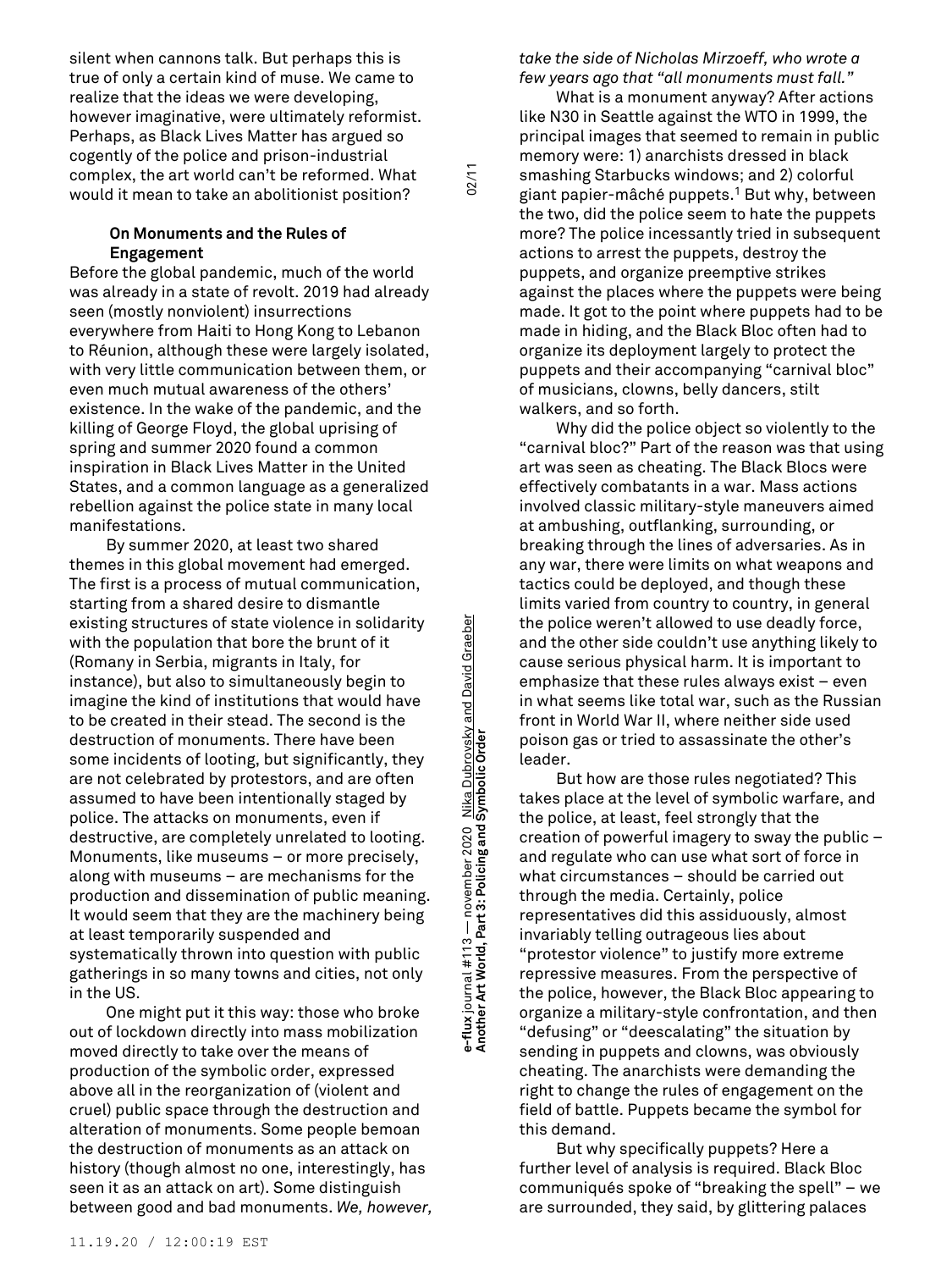silent when cannons talk. But perhaps this is true of only a certain kind of muse. We came to realize that the ideas we were developing, however imaginative, were ultimately reformist. Perhaps, as Black Lives Matter has argued so cogently of the police and prison-industrial complex, the art world can't be reformed. What would it mean to take an abolitionist position?

## **On Monuments and the Rules of Engagement**

Before the global pandemic, much of the world was already in a state of revolt. 2019 had already seen (mostly nonviolent) insurrections everywhere from Haiti to Hong Kong to Lebanon to Réunion, although these were largely isolated, with very little communication between them, or even much mutual awareness of the others' existence. In the wake of the pandemic, and the killing of George Floyd, the global uprising of spring and summer 2020 found a common inspiration in Black Lives Matter in the United States, and a common language as a generalized rebellion against the police state in many local manifestations.

By summer 2020, at least two shared themes in this global movement had emerged. The first is a process of mutual communication, starting from a shared desire to dismantle existing structures of state violence in solidarity with the population that bore the brunt of it (Romany in Serbia, migrants in Italy, for instance), but also to simultaneously begin to imagine the kind of institutions that would have to be created in their stead. The second is the destruction of monuments. There have been some incidents of looting, but significantly, they are not celebrated by protestors, and are often assumed to have been intentionally staged by police. The attacks on monuments, even if destructive, are completely unrelated to looting. Monuments, like museums – or more precisely, along with museums – are mechanisms for the production and dissemination of public meaning. It would seem that they are the machinery being at least temporarily suspended and systematically thrown into question with public gatherings in so many towns and cities, not only in the US.

One might put it this way: those who broke out of lockdown directly into mass mobilization moved directly to take over the means of production of the symbolic order, expressed above all in the reorganization of (violent and cruel) public space through the destruction and alteration of monuments. Some people bemoan the destruction of monuments as an attack on history (though almost no one, interestingly, has seen it as an attack on art). Some distinguish between good and bad monuments. *We, however,*

**Another Art World, Part 3: Policing and Symbolic Order** 02/11 e-flux journal #113 — november 2020 Nik<u>a Dubrovsky and David Graeber</u><br>Another Art World, Part 3: Policing and Symbolic Order **e-flux** journal #113 — november 2020 Nika Dubrovsky and David Graeber

 $02/11$ 

*take the side of Nicholas Mirzoeff, who wrote a few years ago that "all monuments must fall."*

What is a monument anyway? After actions like N30 in Seattle against the WTO in 1999, the principal images that seemed to remain in public memory were: 1) anarchists dressed in black smashing Starbucks windows; and 2) colorful giant papier-mâché puppets. <sup>1</sup> But why, between the two, did the police seem to hate the puppets more? The police incessantly tried in subsequent actions to arrest the puppets, destroy the puppets, and organize preemptive strikes against the places where the puppets were being made. It got to the point where puppets had to be made in hiding, and the Black Bloc often had to organize its deployment largely to protect the puppets and their accompanying "carnival bloc" of musicians, clowns, belly dancers, stilt walkers, and so forth.

Why did the police object so violently to the "carnival bloc?" Part of the reason was that using art was seen as cheating. The Black Blocs were effectively combatants in a war. Mass actions involved classic military-style maneuvers aimed at ambushing, outflanking, surrounding, or breaking through the lines of adversaries. As in any war, there were limits on what weapons and tactics could be deployed, and though these limits varied from country to country, in general the police weren't allowed to use deadly force, and the other side couldn't use anything likely to cause serious physical harm. It is important to emphasize that these rules always exist – even in what seems like total war, such as the Russian front in World War II, where neither side used poison gas or tried to assassinate the other's leader.

But how are those rules negotiated? This takes place at the level of symbolic warfare, and the police, at least, feel strongly that the creation of powerful imagery to sway the public – and regulate who can use what sort of force in what circumstances – should be carried out through the media. Certainly, police representatives did this assiduously, almost invariably telling outrageous lies about "protestor violence" to justify more extreme repressive measures. From the perspective of the police, however, the Black Bloc appearing to organize a military-style confrontation, and then "defusing" or "deescalating" the situation by sending in puppets and clowns, was obviously cheating. The anarchists were demanding the right to change the rules of engagement on the field of battle. Puppets became the symbol for this demand.

But why specifically puppets? Here a further level of analysis is required. Black Bloc communiqués spoke of "breaking the spell" – we are surrounded, they said, by glittering palaces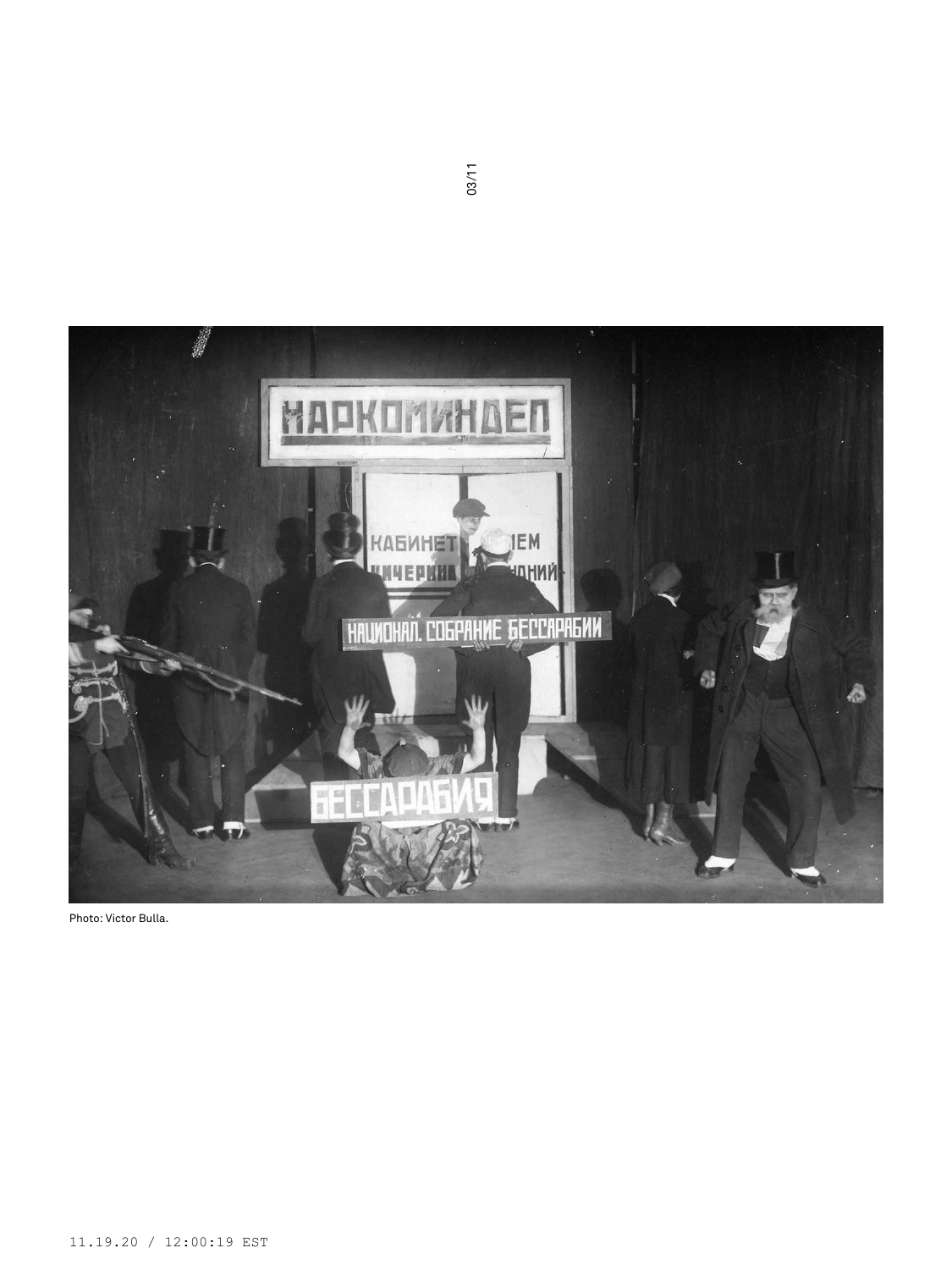

Photo: Victor Bulla.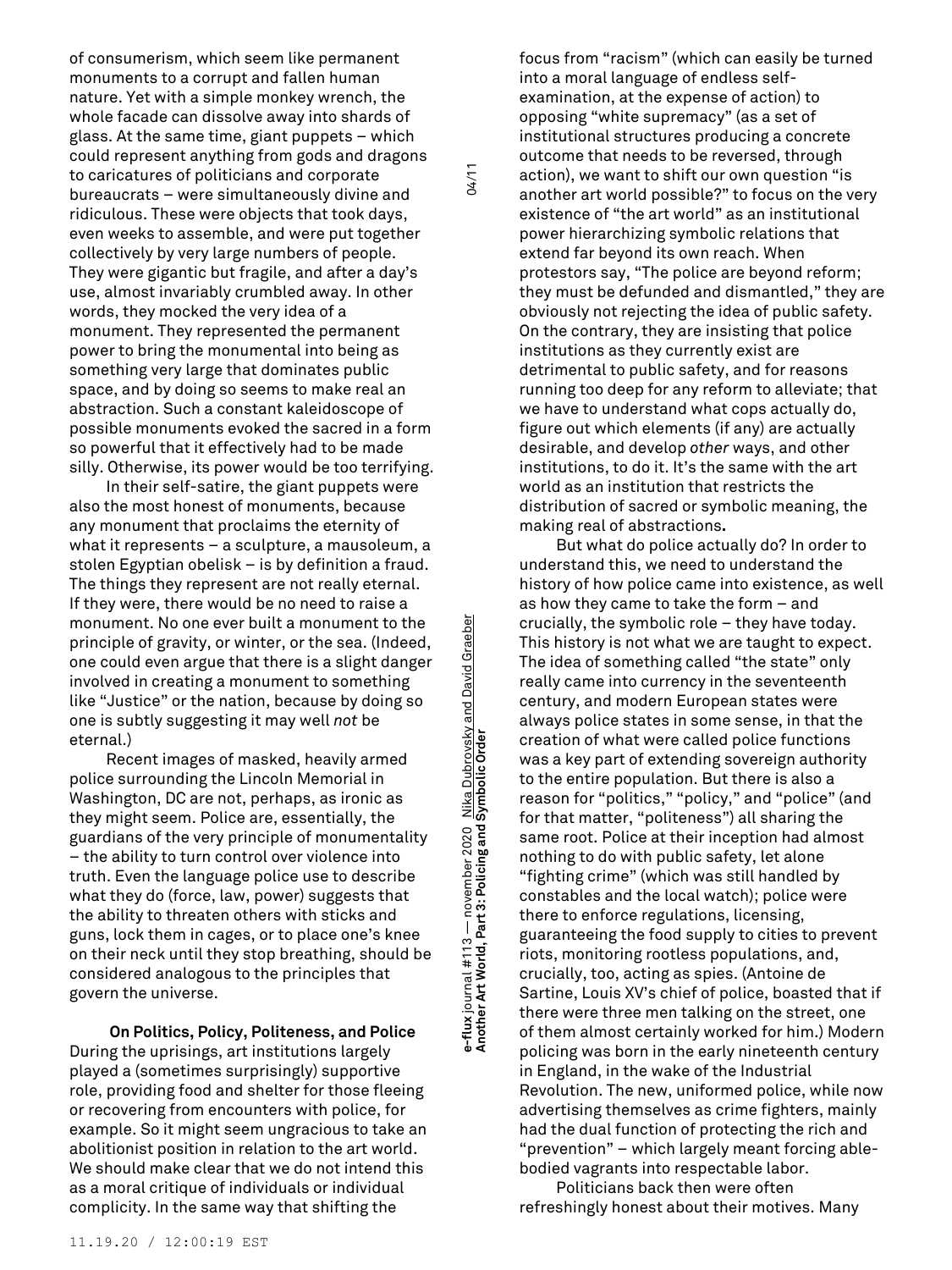of consumerism, which seem like permanent monuments to a corrupt and fallen human nature. Yet with a simple monkey wrench, the whole facade can dissolve away into shards of glass. At the same time, giant puppets – which could represent anything from gods and dragons to caricatures of politicians and corporate bureaucrats – were simultaneously divine and ridiculous. These were objects that took days, even weeks to assemble, and were put together collectively by very large numbers of people. They were gigantic but fragile, and after a day's use, almost invariably crumbled away. In other words, they mocked the very idea of a monument. They represented the permanent power to bring the monumental into being as something very large that dominates public space, and by doing so seems to make real an abstraction. Such a constant kaleidoscope of possible monuments evoked the sacred in a form so powerful that it effectively had to be made silly. Otherwise, its power would be too terrifying.

In their self-satire, the giant puppets were also the most honest of monuments, because any monument that proclaims the eternity of what it represents – a sculpture, a mausoleum, a stolen Egyptian obelisk – is by definition a fraud. The things they represent are not really eternal. If they were, there would be no need to raise a monument. No one ever built a monument to the principle of gravity, or winter, or the sea. (Indeed, one could even argue that there is a slight danger involved in creating a monument to something like "Justice" or the nation, because by doing so one is subtly suggesting it may well *not* be eternal.)

Recent images of masked, heavily armed police surrounding the Lincoln Memorial in Washington, DC are not, perhaps, as ironic as they might seem. Police are, essentially, the guardians of the very principle of monumentality – the ability to turn control over violence into truth. Even the language police use to describe what they do (force, law, power) suggests that the ability to threaten others with sticks and guns, lock them in cages, or to place one's knee on their neck until they stop breathing, should be considered analogous to the principles that govern the universe.

**On Politics, Policy, Politeness, and Police** During the uprisings, art institutions largely played a (sometimes surprisingly) supportive role, providing food and shelter for those fleeing or recovering from encounters with police, for example. So it might seem ungracious to take an abolitionist position in relation to the art world. We should make clear that we do not intend this as a moral critique of individuals or individual complicity. In the same way that shifting the

**Another Art World, Part 3: Policing and Symbolic Order** 04/11 e-flux journal #113 — november 2020 <u>Nika Dubrovsky and David Graeber</u><br>Another Art World, Part 3: Policing and Symbolic Order **e-flux** journal #113 — november 2020 Nika Dubrovsky and David Graeber

04/11

focus from "racism" (which can easily be turned into a moral language of endless selfexamination, at the expense of action) to opposing "white supremacy" (as a set of institutional structures producing a concrete outcome that needs to be reversed, through action), we want to shift our own question "is another art world possible?" to focus on the very existence of "the art world" as an institutional power hierarchizing symbolic relations that extend far beyond its own reach. When protestors say, "The police are beyond reform; they must be defunded and dismantled," they are obviously not rejecting the idea of public safety. On the contrary, they are insisting that police institutions as they currently exist are detrimental to public safety, and for reasons running too deep for any reform to alleviate; that we have to understand what cops actually do, figure out which elements (if any) are actually desirable, and develop *other* ways, and other institutions, to do it. It's the same with the art world as an institution that restricts the distribution of sacred or symbolic meaning, the making real of abstractions**.**

But what do police actually do? In order to understand this, we need to understand the history of how police came into existence, as well as how they came to take the form – and crucially, the symbolic role – they have today. This history is not what we are taught to expect. The idea of something called "the state" only really came into currency in the seventeenth century, and modern European states were always police states in some sense, in that the creation of what were called police functions was a key part of extending sovereign authority to the entire population. But there is also a reason for "politics," "policy," and "police" (and for that matter, "politeness") all sharing the same root. Police at their inception had almost nothing to do with public safety, let alone "fighting crime" (which was still handled by constables and the local watch); police were there to enforce regulations, licensing, guaranteeing the food supply to cities to prevent riots, monitoring rootless populations, and, crucially, too, acting as spies. (Antoine de Sartine, Louis XV's chief of police, boasted that if there were three men talking on the street, one of them almost certainly worked for him.) Modern policing was born in the early nineteenth century in England, in the wake of the Industrial Revolution. The new, uniformed police, while now advertising themselves as crime fighters, mainly had the dual function of protecting the rich and "prevention" – which largely meant forcing ablebodied vagrants into respectable labor.

Politicians back then were often refreshingly honest about their motives. Many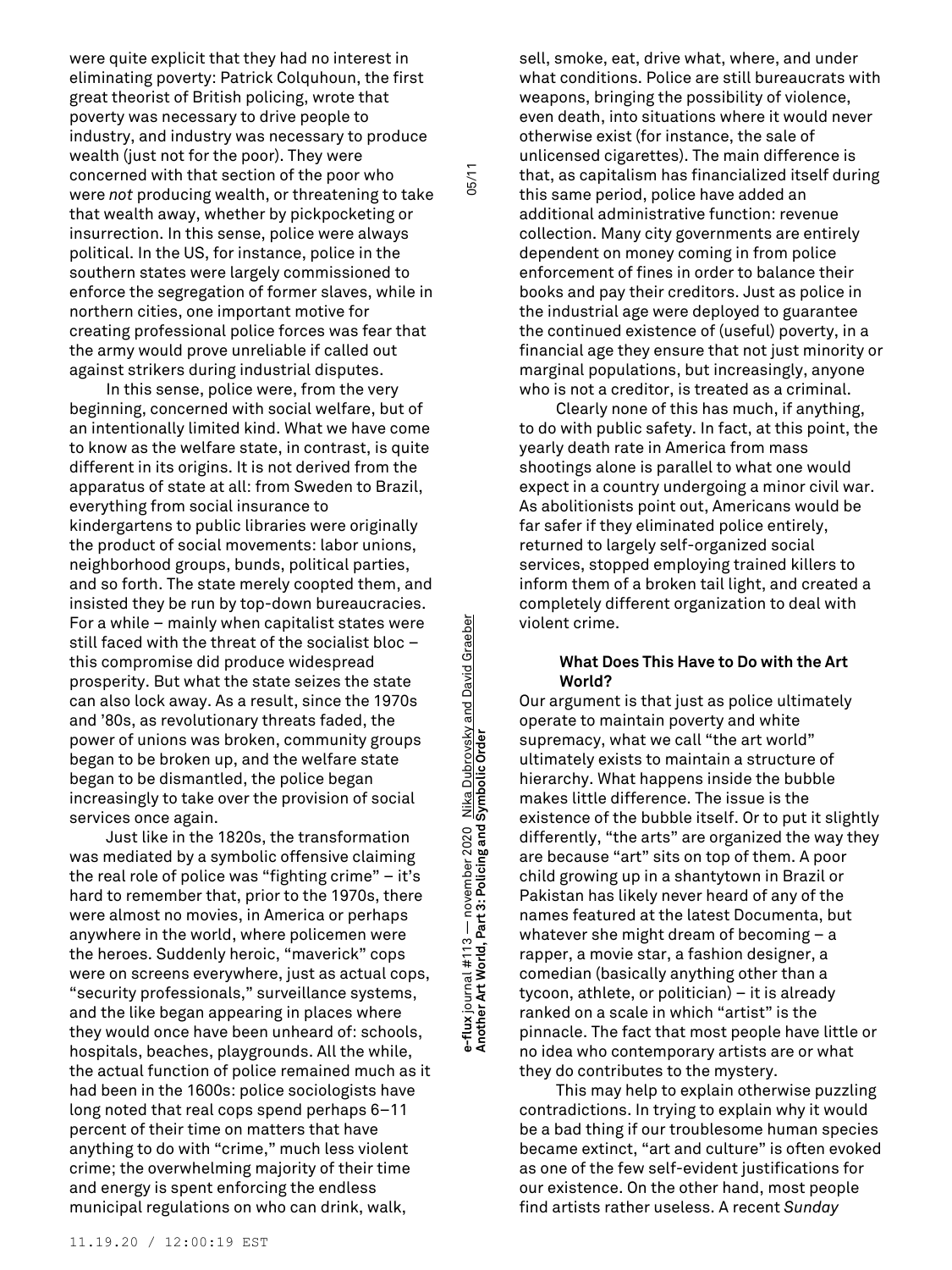were quite explicit that they had no interest in eliminating poverty: Patrick Colquhoun, the first great theorist of British policing, wrote that poverty was necessary to drive people to industry, and industry was necessary to produce wealth (just not for the poor). They were concerned with that section of the poor who were *not* producing wealth, or threatening to take that wealth away, whether by pickpocketing or insurrection. In this sense, police were always political. In the US, for instance, police in the southern states were largely commissioned to enforce the segregation of former slaves, while in northern cities, one important motive for creating professional police forces was fear that the army would prove unreliable if called out against strikers during industrial disputes.

In this sense, police were, from the very beginning, concerned with social welfare, but of an intentionally limited kind. What we have come to know as the welfare state, in contrast, is quite different in its origins. It is not derived from the apparatus of state at all: from Sweden to Brazil, everything from social insurance to kindergartens to public libraries were originally the product of social movements: labor unions, neighborhood groups, bunds, political parties, and so forth. The state merely coopted them, and insisted they be run by top-down bureaucracies. For a while – mainly when capitalist states were still faced with the threat of the socialist bloc – this compromise did produce widespread prosperity. But what the state seizes the state can also lock away. As a result, since the 1970s and '80s, as revolutionary threats faded, the power of unions was broken, community groups began to be broken up, and the welfare state began to be dismantled, the police began increasingly to take over the provision of social services once again.

Just like in the 1820s, the transformation was mediated by a symbolic offensive claiming the real role of police was "fighting crime" – it's hard to remember that, prior to the 1970s, there were almost no movies, in America or perhaps anywhere in the world, where policemen were the heroes. Suddenly heroic, "maverick" cops were on screens everywhere, just as actual cops, "security professionals," surveillance systems, and the like began appearing in places where they would once have been unheard of: schools, hospitals, beaches, playgrounds. All the while, the actual function of police remained much as it had been in the 1600s: police sociologists have long noted that real cops spend perhaps 6–11 percent of their time on matters that have anything to do with "crime," much less violent crime; the overwhelming majority of their time and energy is spent enforcing the endless municipal regulations on who can drink, walk,

**Another Art World, Part 3: Policing and Symbolic Order** 05/11 e-flux journal #113 — november 2020 <u>Nika Dubrovsky and David Graeber</u><br>Another Art World, Part 3: Policing and Symbolic Order **e-flux** journal #113 — november 2020 Nika Dubrovsky and David Graeber

 $05/11$ 

sell, smoke, eat, drive what, where, and under what conditions. Police are still bureaucrats with weapons, bringing the possibility of violence, even death, into situations where it would never otherwise exist (for instance, the sale of unlicensed cigarettes). The main difference is that, as capitalism has financialized itself during this same period, police have added an additional administrative function: revenue collection. Many city governments are entirely dependent on money coming in from police enforcement of fines in order to balance their books and pay their creditors. Just as police in the industrial age were deployed to guarantee the continued existence of (useful) poverty, in a financial age they ensure that not just minority or marginal populations, but increasingly, anyone who is not a creditor, is treated as a criminal.

Clearly none of this has much, if anything, to do with public safety. In fact, at this point, the yearly death rate in America from mass shootings alone is parallel to what one would expect in a country undergoing a minor civil war. As abolitionists point out, Americans would be far safer if they eliminated police entirely, returned to largely self-organized social services, stopped employing trained killers to inform them of a broken tail light, and created a completely different organization to deal with violent crime.

### **What Does This Have to Do with the Art World?**

Our argument is that just as police ultimately operate to maintain poverty and white supremacy, what we call "the art world" ultimately exists to maintain a structure of hierarchy. What happens inside the bubble makes little difference. The issue is the existence of the bubble itself. Or to put it slightly differently, "the arts" are organized the way they are because "art" sits on top of them. A poor child growing up in a shantytown in Brazil or Pakistan has likely never heard of any of the names featured at the latest Documenta, but whatever she might dream of becoming – a rapper, a movie star, a fashion designer, a comedian (basically anything other than a tycoon, athlete, or politician) – it is already ranked on a scale in which "artist" is the pinnacle. The fact that most people have little or no idea who contemporary artists are or what they do contributes to the mystery.

This may help to explain otherwise puzzling contradictions. In trying to explain why it would be a bad thing if our troublesome human species became extinct, "art and culture" is often evoked as one of the few self-evident justifications for our existence. On the other hand, most people find artists rather useless. A recent *Sunday*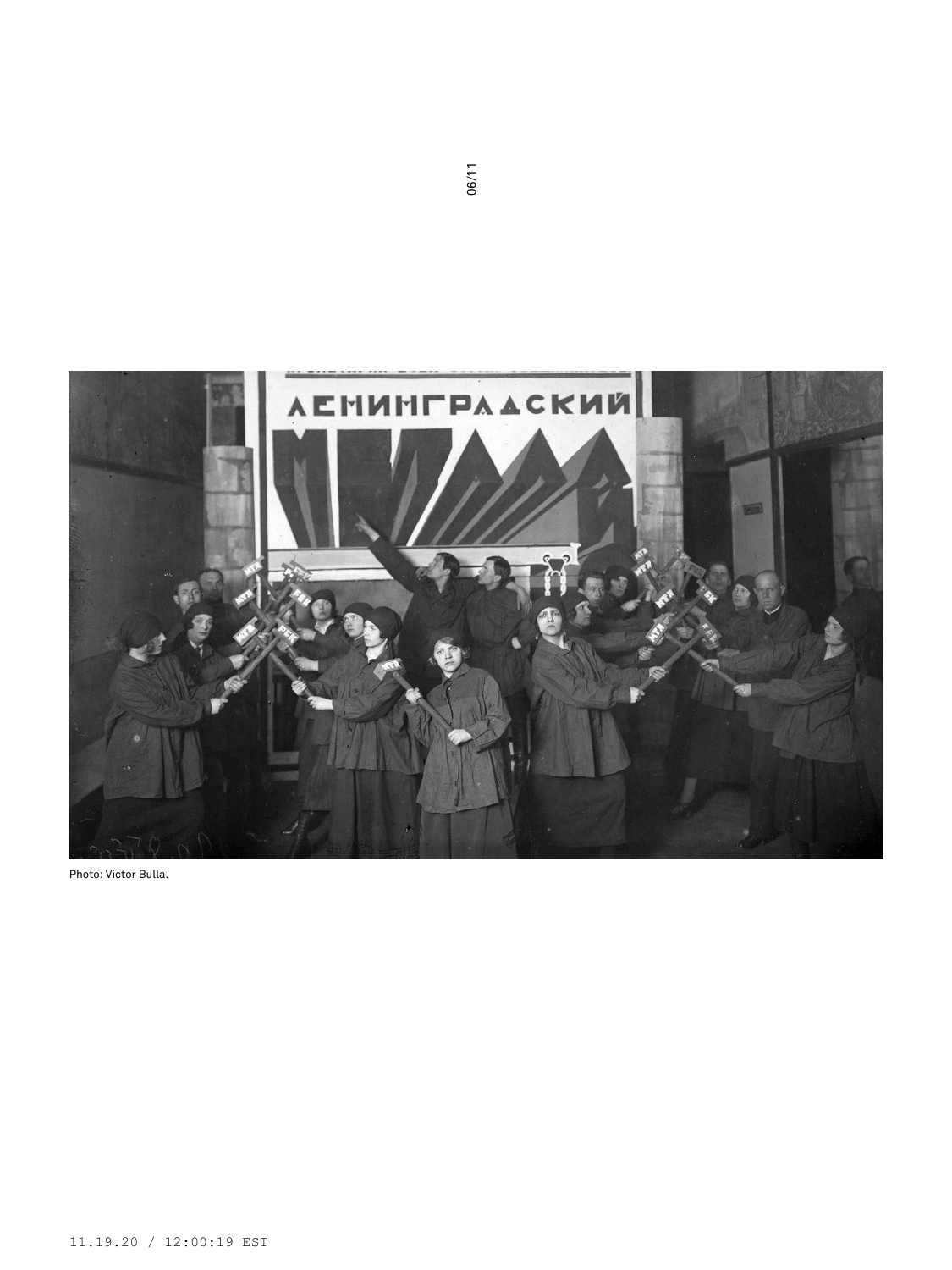

Photo: Victor Bulla.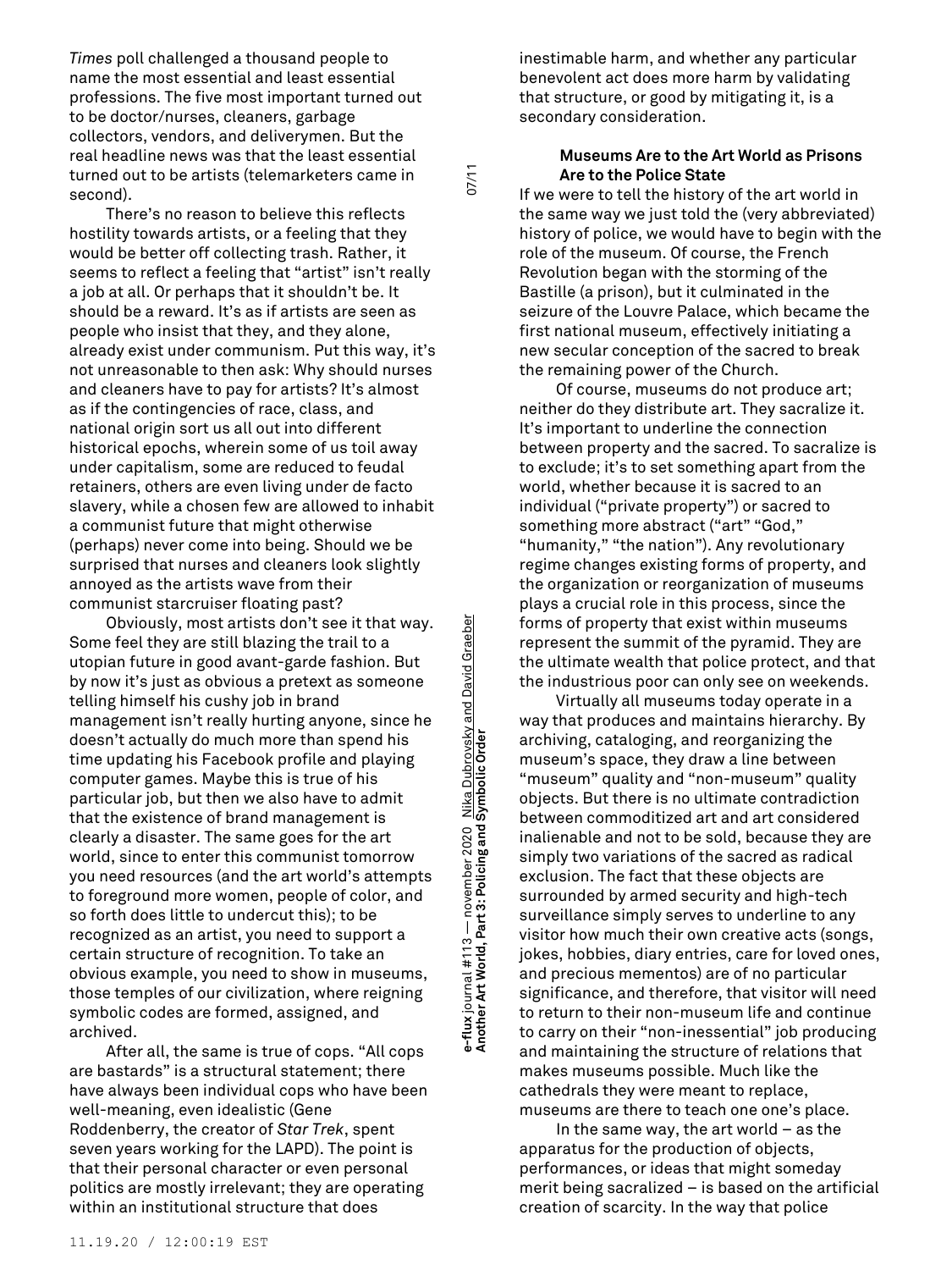*Times* poll challenged a thousand people to name the most essential and least essential professions. The five most important turned out to be doctor/nurses, cleaners, garbage collectors, vendors, and deliverymen. But the real headline news was that the least essential turned out to be artists (telemarketers came in second).

There's no reason to believe this reflects hostility towards artists, or a feeling that they would be better off collecting trash. Rather, it seems to reflect a feeling that "artist" isn't really a job at all. Or perhaps that it shouldn't be. It should be a reward. It's as if artists are seen as people who insist that they, and they alone, already exist under communism. Put this way, it's not unreasonable to then ask: Why should nurses and cleaners have to pay for artists? It's almost as if the contingencies of race, class, and national origin sort us all out into different historical epochs, wherein some of us toil away under capitalism, some are reduced to feudal retainers, others are even living under de facto slavery, while a chosen few are allowed to inhabit a communist future that might otherwise (perhaps) never come into being. Should we be surprised that nurses and cleaners look slightly annoyed as the artists wave from their communist starcruiser floating past?

Obviously, most artists don't see it that way. Some feel they are still blazing the trail to a utopian future in good avant-garde fashion. But by now it's just as obvious a pretext as someone telling himself his cushy job in brand management isn't really hurting anyone, since he doesn't actually do much more than spend his time updating his Facebook profile and playing computer games. Maybe this is true of his particular job, but then we also have to admit that the existence of brand management is clearly a disaster. The same goes for the art world, since to enter this communist tomorrow you need resources (and the art world's attempts to foreground more women, people of color, and so forth does little to undercut this); to be recognized as an artist, you need to support a certain structure of recognition. To take an obvious example, you need to show in museums, those temples of our civilization, where reigning symbolic codes are formed, assigned, and archived.

After all, the same is true of cops. "All cops are bastards" is a structural statement; there have always been individual cops who have been well-meaning, even idealistic (Gene Roddenberry, the creator of *Star Trek*, spent seven years working for the LAPD). The point is that their personal character or even personal politics are mostly irrelevant; they are operating within an institutional structure that does

**Another Art World, Part 3: Policing and Symbolic Order** 07/11 Nika Dubrovsky and David Graeber<br>**Symbolic Order e-flux** journal #113 — november 2020 Nika Dubrovsky and David Graeber e-flux journal #113 — november 2020<br>Another Art World, Part 3: Policing and

 $11/20$ 

inestimable harm, and whether any particular benevolent act does more harm by validating that structure, or good by mitigating it, is a secondary consideration.

# **Museums Are to the Art World as Prisons Are to the Police State**

If we were to tell the history of the art world in the same way we just told the (very abbreviated) history of police, we would have to begin with the role of the museum. Of course, the French Revolution began with the storming of the Bastille (a prison), but it culminated in the seizure of the Louvre Palace, which became the first national museum, effectively initiating a new secular conception of the sacred to break the remaining power of the Church.

Of course, museums do not produce art; neither do they distribute art. They sacralize it. It's important to underline the connection between property and the sacred. To sacralize is to exclude; it's to set something apart from the world, whether because it is sacred to an individual ("private property") or sacred to something more abstract ("art" "God," "humanity," "the nation"). Any revolutionary regime changes existing forms of property, and the organization or reorganization of museums plays a crucial role in this process, since the forms of property that exist within museums represent the summit of the pyramid. They are the ultimate wealth that police protect, and that the industrious poor can only see on weekends.

Virtually all museums today operate in a way that produces and maintains hierarchy. By archiving, cataloging, and reorganizing the museum's space, they draw a line between "museum" quality and "non-museum" quality objects. But there is no ultimate contradiction between commoditized art and art considered inalienable and not to be sold, because they are simply two variations of the sacred as radical exclusion. The fact that these objects are surrounded by armed security and high-tech surveillance simply serves to underline to any visitor how much their own creative acts (songs, jokes, hobbies, diary entries, care for loved ones, and precious mementos) are of no particular significance, and therefore, that visitor will need to return to their non-museum life and continue to carry on their "non-inessential" job producing and maintaining the structure of relations that makes museums possible. Much like the cathedrals they were meant to replace, museums are there to teach one one's place.

In the same way, the art world – as the apparatus for the production of objects, performances, or ideas that might someday merit being sacralized – is based on the artificial creation of scarcity. In the way that police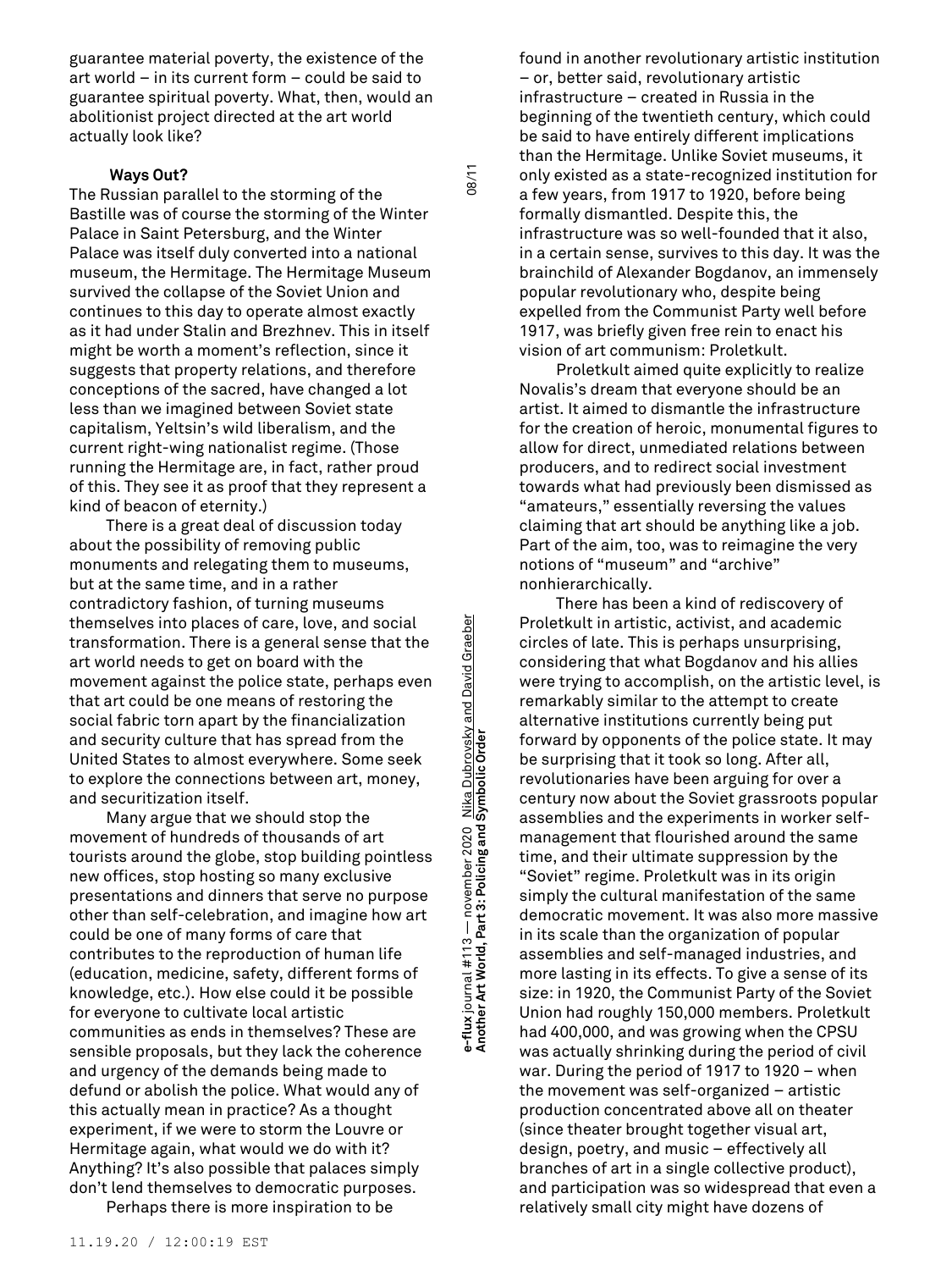guarantee material poverty, the existence of the art world – in its current form – could be said to guarantee spiritual poverty. What, then, would an abolitionist project directed at the art world actually look like?

## **Ways Out?**

The Russian parallel to the storming of the Bastille was of course the storming of the Winter Palace in Saint Petersburg, and the Winter Palace was itself duly converted into a national museum, the Hermitage. The Hermitage Museum survived the collapse of the Soviet Union and continues to this day to operate almost exactly as it had under Stalin and Brezhnev. This in itself might be worth a moment's reflection, since it suggests that property relations, and therefore conceptions of the sacred, have changed a lot less than we imagined between Soviet state capitalism, Yeltsin's wild liberalism, and the current right-wing nationalist regime. (Those running the Hermitage are, in fact, rather proud of this. They see it as proof that they represent a kind of beacon of eternity.)

There is a great deal of discussion today about the possibility of removing public monuments and relegating them to museums, but at the same time, and in a rather contradictory fashion, of turning museums themselves into places of care, love, and social transformation. There is a general sense that the art world needs to get on board with the movement against the police state, perhaps even that art could be one means of restoring the social fabric torn apart by the financialization and security culture that has spread from the United States to almost everywhere. Some seek to explore the connections between art, money, and securitization itself.

Many argue that we should stop the movement of hundreds of thousands of art tourists around the globe, stop building pointless new offices, stop hosting so many exclusive presentations and dinners that serve no purpose other than self-celebration, and imagine how art could be one of many forms of care that contributes to the reproduction of human life (education, medicine, safety, different forms of knowledge, etc.). How else could it be possible for everyone to cultivate local artistic communities as ends in themselves? These are sensible proposals, but they lack the coherence and urgency of the demands being made to defund or abolish the police. What would any of this actually mean in practice? As a thought experiment, if we were to storm the Louvre or Hermitage again, what would we do with it? Anything? It's also possible that palaces simply don't lend themselves to democratic purposes.

Perhaps there is more inspiration to be

**Another Art World, Part 3: Policing and Symbolic Order** 08/11 e-flux journal #113 — november 2020 Nik<u>a Dubrovsky and David Graeber</u><br>Another Art World, Part 3: Policing and Symbolic Order **e-flux** journal #113 — november 2020 Nika Dubrovsky and David Graeber

08/11

found in another revolutionary artistic institution – or, better said, revolutionary artistic infrastructure – created in Russia in the beginning of the twentieth century, which could be said to have entirely different implications than the Hermitage. Unlike Soviet museums, it only existed as a state-recognized institution for a few years, from 1917 to 1920, before being formally dismantled. Despite this, the infrastructure was so well-founded that it also, in a certain sense, survives to this day. It was the brainchild of Alexander Bogdanov, an immensely popular revolutionary who, despite being expelled from the Communist Party well before 1917, was briefly given free rein to enact his vision of art communism: Proletkult.

Proletkult aimed quite explicitly to realize Novalis's dream that everyone should be an artist. It aimed to dismantle the infrastructure for the creation of heroic, monumental figures to allow for direct, unmediated relations between producers, and to redirect social investment towards what had previously been dismissed as "amateurs," essentially reversing the values claiming that art should be anything like a job. Part of the aim, too, was to reimagine the very notions of "museum" and "archive" nonhierarchically.

There has been a kind of rediscovery of Proletkult in artistic, activist, and academic circles of late. This is perhaps unsurprising, considering that what Bogdanov and his allies were trying to accomplish, on the artistic level, is remarkably similar to the attempt to create alternative institutions currently being put forward by opponents of the police state. It may be surprising that it took so long. After all, revolutionaries have been arguing for over a century now about the Soviet grassroots popular assemblies and the experiments in worker selfmanagement that flourished around the same time, and their ultimate suppression by the "Soviet" regime. Proletkult was in its origin simply the cultural manifestation of the same democratic movement. It was also more massive in its scale than the organization of popular assemblies and self-managed industries, and more lasting in its effects. To give a sense of its size: in 1920, the Communist Party of the Soviet Union had roughly 150,000 members. Proletkult had 400,000, and was growing when the CPSU was actually shrinking during the period of civil war. During the period of 1917 to 1920 – when the movement was self-organized – artistic production concentrated above all on theater (since theater brought together visual art, design, poetry, and music – effectively all branches of art in a single collective product), and participation was so widespread that even a relatively small city might have dozens of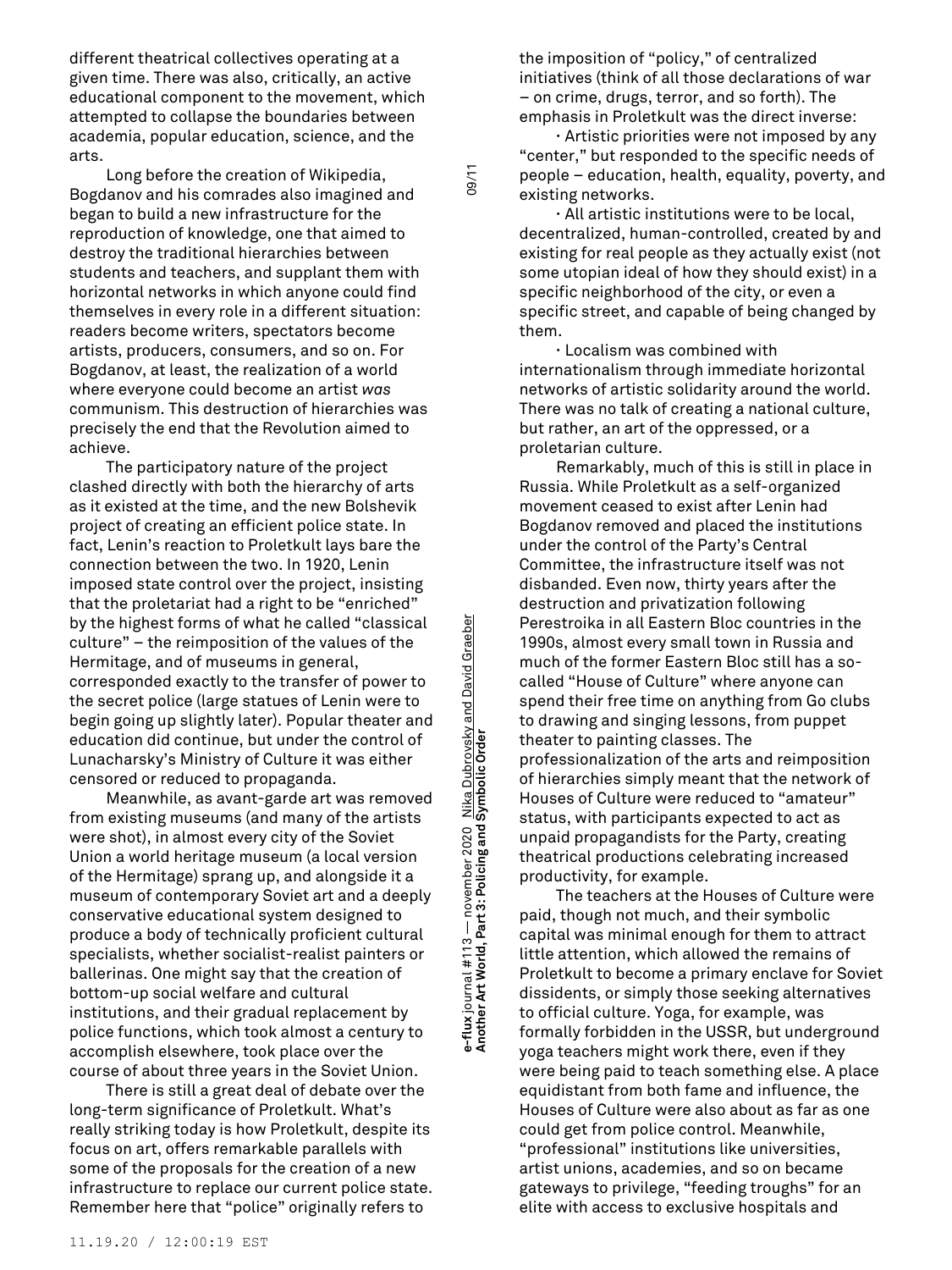different theatrical collectives operating at a given time. There was also, critically, an active educational component to the movement, which attempted to collapse the boundaries between academia, popular education, science, and the arts.

Long before the creation of Wikipedia, Bogdanov and his comrades also imagined and began to build a new infrastructure for the reproduction of knowledge, one that aimed to destroy the traditional hierarchies between students and teachers, and supplant them with horizontal networks in which anyone could find themselves in every role in a different situation: readers become writers, spectators become artists, producers, consumers, and so on. For Bogdanov, at least, the realization of a world where everyone could become an artist *was* communism. This destruction of hierarchies was precisely the end that the Revolution aimed to achieve.

The participatory nature of the project clashed directly with both the hierarchy of arts as it existed at the time, and the new Bolshevik project of creating an efficient police state. In fact, Lenin's reaction to Proletkult lays bare the connection between the two. In 1920, Lenin imposed state control over the project, insisting that the proletariat had a right to be "enriched" by the highest forms of what he called "classical culture" – the reimposition of the values of the Hermitage, and of museums in general, corresponded exactly to the transfer of power to the secret police (large statues of Lenin were to begin going up slightly later). Popular theater and education did continue, but under the control of Lunacharsky's Ministry of Culture it was either censored or reduced to propaganda.

Meanwhile, as avant-garde art was removed from existing museums (and many of the artists were shot), in almost every city of the Soviet Union a world heritage museum (a local version of the Hermitage) sprang up, and alongside it a museum of contemporary Soviet art and a deeply conservative educational system designed to produce a body of technically proficient cultural specialists, whether socialist-realist painters or ballerinas. One might say that the creation of bottom-up social welfare and cultural institutions, and their gradual replacement by police functions, which took almost a century to accomplish elsewhere, took place over the course of about three years in the Soviet Union.

There is still a great deal of debate over the long-term significance of Proletkult. What's really striking today is how Proletkult, despite its focus on art, offers remarkable parallels with some of the proposals for the creation of a new infrastructure to replace our current police state. Remember here that "police" originally refers to

**Another Art World, Part 3: Policing and Symbolic Order** 09/11 s-flux journal #113 — november 2020 Nika Dubrovsky and David Graeber<br>Another Art World, Part 3: Policing and Symbolic Order **e-flux** journal #113 — november 2020 Nika Dubrovsky and David Graeber

 $09/11$ 

the imposition of "policy," of centralized initiatives (think of all those declarations of war – on crime, drugs, terror, and so forth). The emphasis in Proletkult was the direct inverse:

**∙** Artistic priorities were not imposed by any "center," but responded to the specific needs of people – education, health, equality, poverty, and existing networks.

**∙** All artistic institutions were to be local, decentralized, human-controlled, created by and existing for real people as they actually exist (not some utopian ideal of how they should exist) in a specific neighborhood of the city, or even a specific street, and capable of being changed by them.

**∙** Localism was combined with internationalism through immediate horizontal networks of artistic solidarity around the world. There was no talk of creating a national culture, but rather, an art of the oppressed, or a proletarian culture.

Remarkably, much of this is still in place in Russia. While Proletkult as a self-organized movement ceased to exist after Lenin had Bogdanov removed and placed the institutions under the control of the Party's Central Committee, the infrastructure itself was not disbanded. Even now, thirty years after the destruction and privatization following Perestroika in all Eastern Bloc countries in the 1990s, almost every small town in Russia and much of the former Eastern Bloc still has a socalled "House of Culture" where anyone can spend their free time on anything from Go clubs to drawing and singing lessons, from puppet theater to painting classes. The professionalization of the arts and reimposition of hierarchies simply meant that the network of Houses of Culture were reduced to "amateur" status, with participants expected to act as unpaid propagandists for the Party, creating theatrical productions celebrating increased productivity, for example.

The teachers at the Houses of Culture were paid, though not much, and their symbolic capital was minimal enough for them to attract little attention, which allowed the remains of Proletkult to become a primary enclave for Soviet dissidents, or simply those seeking alternatives to official culture. Yoga, for example, was formally forbidden in the USSR, but underground yoga teachers might work there, even if they were being paid to teach something else. A place equidistant from both fame and influence, the Houses of Culture were also about as far as one could get from police control. Meanwhile, "professional" institutions like universities, artist unions, academies, and so on became gateways to privilege, "feeding troughs" for an elite with access to exclusive hospitals and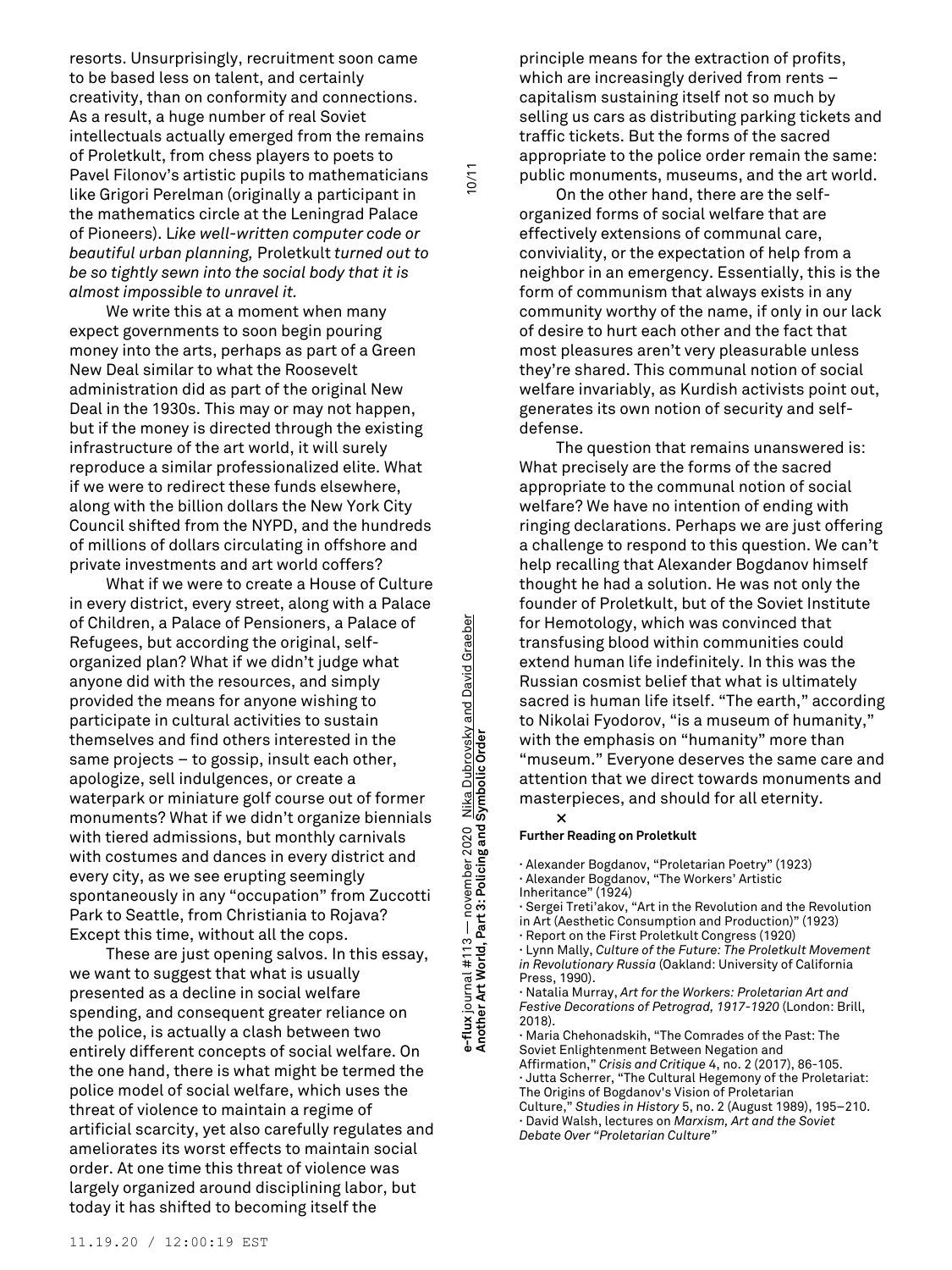resorts. Unsurprisingly, recruitment soon came to be based less on talent, and certainly creativity, than on conformity and connections. As a result, a huge number of real Soviet intellectuals actually emerged from the remains of Proletkult, from chess players to poets to Pavel Filonov's artistic pupils to mathematicians like Grigori Perelman (originally a participant in the mathematics circle at the Leningrad Palace of Pioneers). L*ike well-written computer code or beautiful urban planning,* Proletkult *turned out to be so tightly sewn into the social body that it is almost impossible to unravel it.*

We write this at a moment when many expect governments to soon begin pouring money into the arts, perhaps as part of a Green New Deal similar to what the Roosevelt administration did as part of the original New Deal in the 1930s. This may or may not happen, but if the money is directed through the existing infrastructure of the art world, it will surely reproduce a similar professionalized elite. What if we were to redirect these funds elsewhere, along with the billion dollars the New York City Council shifted from the NYPD, and the hundreds of millions of dollars circulating in offshore and private investments and art world coffers?

What if we were to create a House of Culture in every district, every street, along with a Palace of Children, a Palace of Pensioners, a Palace of Refugees, but according the original, selforganized plan? What if we didn't judge what anyone did with the resources, and simply provided the means for anyone wishing to participate in cultural activities to sustain themselves and find others interested in the same projects – to gossip, insult each other, apologize, sell indulgences, or create a waterpark or miniature golf course out of former monuments? What if we didn't organize biennials with tiered admissions, but monthly carnivals with costumes and dances in every district and every city, as we see erupting seemingly spontaneously in any "occupation" from Zuccotti Park to Seattle, from Christiania to Rojava? Except this time, without all the cops.

These are just opening salvos. In this essay, we want to suggest that what is usually presented as a decline in social welfare spending, and consequent greater reliance on the police, is actually a clash between two entirely different concepts of social welfare. On the one hand, there is what might be termed the police model of social welfare, which uses the threat of violence to maintain a regime of artificial scarcity, yet also carefully regulates and ameliorates its worst effects to maintain social order. At one time this threat of violence was largely organized around disciplining labor, but today it has shifted to becoming itself the

**Another Art World, Part 3: Policing and Symbolic Order** 10/11 e-flux journal #113 — november 2020 <u>Nika Dubrovsky and David Graeber</u><br>Another Art World, Part 3: Policing and Symbolic Order **e-flux** journal #113 — november 2020 Nika Dubrovsky and David Graeber

 $10/11$ 

principle means for the extraction of profits, which are increasingly derived from rents – capitalism sustaining itself not so much by selling us cars as distributing parking tickets and traffic tickets. But the forms of the sacred appropriate to the police order remain the same: public monuments, museums, and the art world.

On the other hand, there are the selforganized forms of social welfare that are effectively extensions of communal care, conviviality, or the expectation of help from a neighbor in an emergency. Essentially, this is the form of communism that always exists in any community worthy of the name, if only in our lack of desire to hurt each other and the fact that most pleasures aren't very pleasurable unless they're shared. This communal notion of social welfare invariably, as Kurdish activists point out, generates its own notion of security and selfdefense.

The question that remains unanswered is: What precisely are the forms of the sacred appropriate to the communal notion of social welfare? We have no intention of ending with ringing declarations. Perhaps we are just offering a challenge to respond to this question. We can't help recalling that Alexander Bogdanov himself thought he had a solution. He was not only the founder of Proletkult, but of the Soviet Institute for Hemotology, which was convinced that transfusing blood within communities could extend human life indefinitely. In this was the Russian cosmist belief that what is ultimately sacred is human life itself. "The earth," according to Nikolai Fyodorov, "is a museum of humanity," with the emphasis on "humanity" more than "museum." Everyone deserves the same care and attention that we direct towards monuments and masterpieces, and should for all eternity. **×**

#### **Further Reading on Proletkult**

**∙** Alexander Bogdanov, "Proletarian Poetry" (1923) **∙** Alexander Bogdanov, "The Workers' Artistic Inheritance" (1924)

**∙** Sergei Treti'akov, "Art in the Revolution and the Revolution in Art (Aesthetic Consumption and Production)" (1923)

**∙** Report on the First Proletkult Congress (1920)

**∙** Lynn Mally, *Culture of the Future: The Proletkult Movement in Revolutionary Russia* (Oakland: University of California Press, 1990).

**∙** Natalia Murray, *Art for the Workers: Proletarian Art and Festive Decorations of Petrograd, 1917-1920* (London: Brill, 2018).

**∙** Maria Chehonadskih, "The Comrades of the Past: The Soviet Enlightenment Between Negation and Affirmation," *Crisis and Critique* 4, no. 2 (2017), 86-105. **∙** Jutta Scherrer, "The Cultural Hegemony of the Proletariat: The Origins of Bogdanov's Vision of Proletarian Culture," *Studies in History* 5, no. 2 (August 1989), 195–210. **∙** David Walsh, lectures on *Marxism, Art and the Soviet Debate Over "Proletarian Culture"*